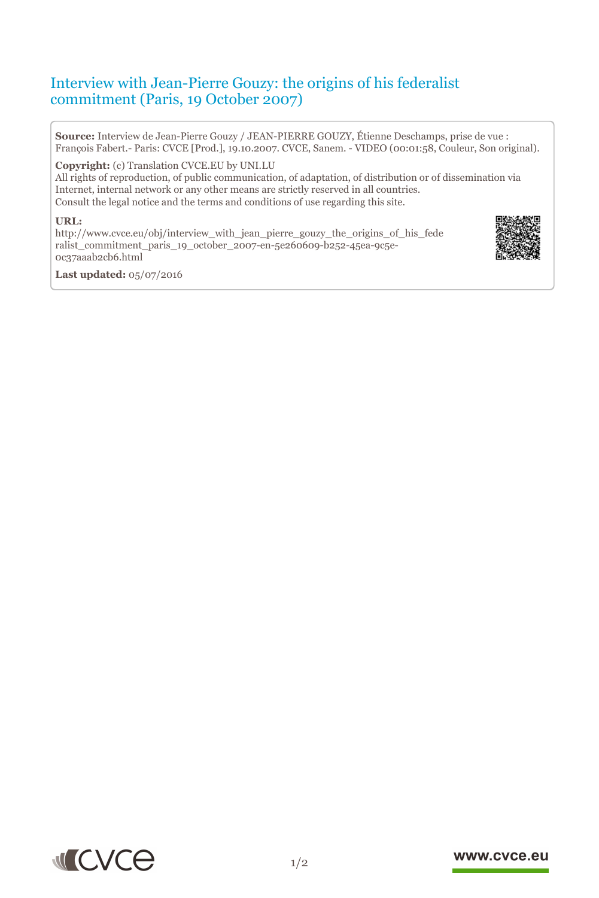# Interview with Jean-Pierre Gouzy: the origins of his federalist commitment (Paris, 19 October 2007)

**Source:** Interview de Jean-Pierre Gouzy / JEAN-PIERRE GOUZY, Étienne Deschamps, prise de vue : François Fabert.- Paris: CVCE [Prod.], 19.10.2007. CVCE, Sanem. - VIDEO (00:01:58, Couleur, Son original).

**Copyright:** (c) Translation CVCE.EU by UNI.LU

All rights of reproduction, of public communication, of adaptation, of distribution or of dissemination via Internet, internal network or any other means are strictly reserved in all countries. Consult the legal notice and the terms and conditions of use regarding this site.

#### **URL:**

http://www.cvce.eu/obj/interview\_with\_jean\_pierre\_gouzy\_the\_origins\_of\_his\_fede rali[st\\_commitment\\_paris\\_19\\_october\\_2007-en-5e260609-b252-45ea-9c5e-](http://www.cvce.eu/obj/interview_with_jean_pierre_gouzy_the_origins_of_his_federalist_commitment_paris_19_october_2007-en-5e260609-b252-45ea-9c5e-0c37aaab2cb6.html)0c3[7aaab2cb6.html](http://www.cvce.eu/obj/interview_with_jean_pierre_gouzy_the_origins_of_his_federalist_commitment_paris_19_october_2007-en-5e260609-b252-45ea-9c5e-0c37aaab2cb6.html)



**Las[t updated:](http://www.cvce.eu/obj/interview_with_jean_pierre_gouzy_the_origins_of_his_federalist_commitment_paris_19_october_2007-en-5e260609-b252-45ea-9c5e-0c37aaab2cb6.html)** 05/07/2016



#### www.cvce.eu